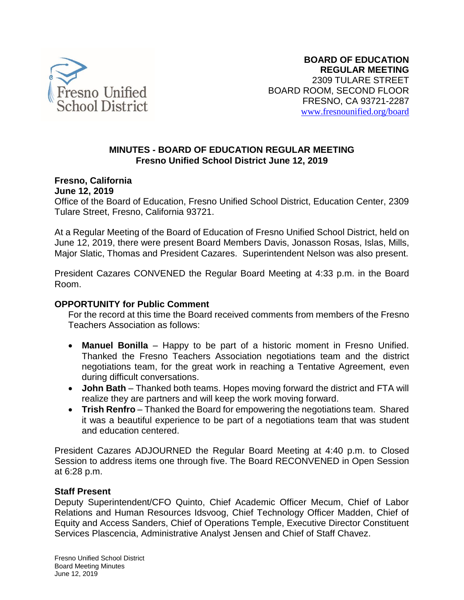

#### **MINUTES - BOARD OF EDUCATION REGULAR MEETING Fresno Unified School District June 12, 2019**

#### **Fresno, California June 12, 2019**

Office of the Board of Education, Fresno Unified School District, Education Center, 2309 Tulare Street, Fresno, California 93721.

At a Regular Meeting of the Board of Education of Fresno Unified School District, held on June 12, 2019, there were present Board Members Davis, Jonasson Rosas, Islas, Mills, Major Slatic, Thomas and President Cazares. Superintendent Nelson was also present.

President Cazares CONVENED the Regular Board Meeting at 4:33 p.m. in the Board Room.

# **OPPORTUNITY for Public Comment**

For the record at this time the Board received comments from members of the Fresno Teachers Association as follows:

- **Manuel Bonilla** Happy to be part of a historic moment in Fresno Unified. Thanked the Fresno Teachers Association negotiations team and the district negotiations team, for the great work in reaching a Tentative Agreement, even during difficult conversations.
- **John Bath** Thanked both teams. Hopes moving forward the district and FTA will realize they are partners and will keep the work moving forward.
- **Trish Renfro** Thanked the Board for empowering the negotiations team. Shared it was a beautiful experience to be part of a negotiations team that was student and education centered.

President Cazares ADJOURNED the Regular Board Meeting at 4:40 p.m. to Closed Session to address items one through five. The Board RECONVENED in Open Session at 6:28 p.m.

#### **Staff Present**

Deputy Superintendent/CFO Quinto, Chief Academic Officer Mecum, Chief of Labor Relations and Human Resources Idsvoog, Chief Technology Officer Madden, Chief of Equity and Access Sanders, Chief of Operations Temple, Executive Director Constituent Services Plascencia, Administrative Analyst Jensen and Chief of Staff Chavez.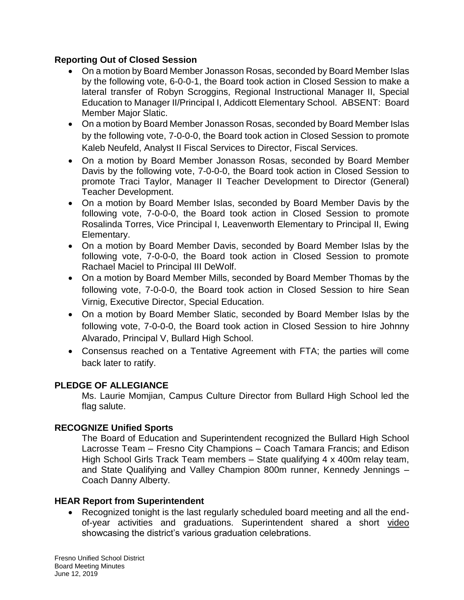# **Reporting Out of Closed Session**

- On a motion by Board Member Jonasson Rosas, seconded by Board Member Islas by the following vote, 6-0-0-1, the Board took action in Closed Session to make a lateral transfer of Robyn Scroggins, Regional Instructional Manager II, Special Education to Manager II/Principal I, Addicott Elementary School. ABSENT: Board Member Major Slatic.
- On a motion by Board Member Jonasson Rosas, seconded by Board Member Islas by the following vote, 7-0-0-0, the Board took action in Closed Session to promote Kaleb Neufeld, Analyst II Fiscal Services to Director, Fiscal Services.
- On a motion by Board Member Jonasson Rosas, seconded by Board Member Davis by the following vote, 7-0-0-0, the Board took action in Closed Session to promote Traci Taylor, Manager II Teacher Development to Director (General) Teacher Development.
- On a motion by Board Member Islas, seconded by Board Member Davis by the following vote, 7-0-0-0, the Board took action in Closed Session to promote Rosalinda Torres, Vice Principal I, Leavenworth Elementary to Principal II, Ewing Elementary.
- On a motion by Board Member Davis, seconded by Board Member Islas by the following vote, 7-0-0-0, the Board took action in Closed Session to promote Rachael Maciel to Principal III DeWolf.
- On a motion by Board Member Mills, seconded by Board Member Thomas by the following vote, 7-0-0-0, the Board took action in Closed Session to hire Sean Virnig, Executive Director, Special Education.
- On a motion by Board Member Slatic, seconded by Board Member Islas by the following vote, 7-0-0-0, the Board took action in Closed Session to hire Johnny Alvarado, Principal V, Bullard High School.
- Consensus reached on a Tentative Agreement with FTA; the parties will come back later to ratify.

# **PLEDGE OF ALLEGIANCE**

Ms. Laurie Momjian, Campus Culture Director from Bullard High School led the flag salute.

# **RECOGNIZE Unified Sports**

The Board of Education and Superintendent recognized the Bullard High School Lacrosse Team – Fresno City Champions – Coach Tamara Francis; and Edison High School Girls Track Team members – State qualifying 4 x 400m relay team, and State Qualifying and Valley Champion 800m runner, Kennedy Jennings – Coach Danny Alberty.

#### **HEAR Report from Superintendent**

• Recognized tonight is the last regularly scheduled board meeting and all the endof-year activities and graduations. Superintendent shared a short [video](https://vimeo.com/340745172) showcasing the district's various graduation celebrations.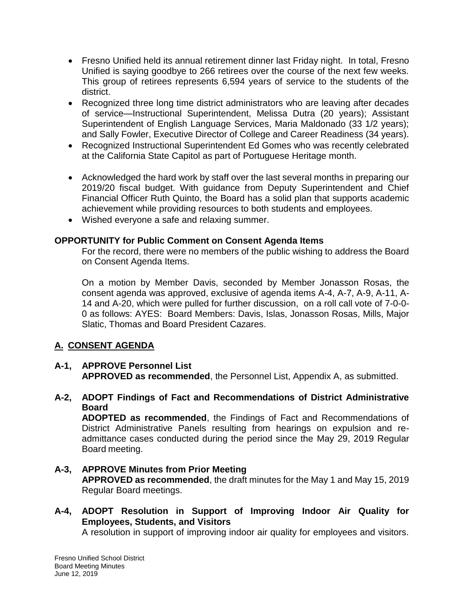- Fresno Unified held its annual retirement dinner last Friday night. In total, Fresno Unified is saying goodbye to 266 retirees over the course of the next few weeks. This group of retirees represents 6,594 years of service to the students of the district.
- Recognized three long time district administrators who are leaving after decades of service—Instructional Superintendent, Melissa Dutra (20 years); Assistant Superintendent of English Language Services, Maria Maldonado (33 1/2 years); and Sally Fowler, Executive Director of College and Career Readiness (34 years).
- Recognized Instructional Superintendent Ed Gomes who was recently celebrated at the California State Capitol as part of Portuguese Heritage month.
- Acknowledged the hard work by staff over the last several months in preparing our 2019/20 fiscal budget. With guidance from Deputy Superintendent and Chief Financial Officer Ruth Quinto, the Board has a solid plan that supports academic achievement while providing resources to both students and employees.
- Wished everyone a safe and relaxing summer.

# **OPPORTUNITY for Public Comment on Consent Agenda Items**

For the record, there were no members of the public wishing to address the Board on Consent Agenda Items.

On a motion by Member Davis, seconded by Member Jonasson Rosas, the consent agenda was approved, exclusive of agenda items A-4, A-7, A-9, A-11, A-14 and A-20, which were pulled for further discussion, on a roll call vote of 7-0-0- 0 as follows: AYES: Board Members: Davis, Islas, Jonasson Rosas, Mills, Major Slatic, Thomas and Board President Cazares.

# **A. CONSENT AGENDA**

#### **A-1, APPROVE Personnel List APPROVED as recommended**, the Personnel List, Appendix A, as submitted.

**A-2, ADOPT Findings of Fact and Recommendations of District Administrative Board**

**ADOPTED as recommended**, the Findings of Fact and Recommendations of District Administrative Panels resulting from hearings on expulsion and readmittance cases conducted during the period since the May 29, 2019 Regular Board meeting.

- **A-3, APPROVE Minutes from Prior Meeting APPROVED as recommended**, the draft minutes for the May 1 and May 15, 2019 Regular Board meetings.
- **A-4, ADOPT Resolution in Support of Improving Indoor Air Quality for Employees, Students, and Visitors**

A resolution in support of improving indoor air quality for employees and visitors.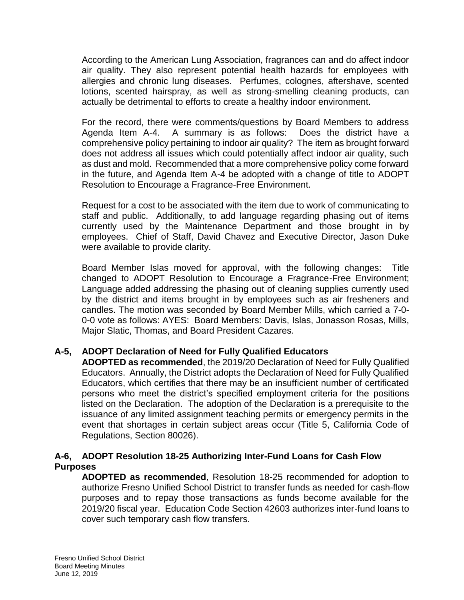According to the American Lung Association, fragrances can and do affect indoor air quality. They also represent potential health hazards for employees with allergies and chronic lung diseases. Perfumes, colognes, aftershave, scented lotions, scented hairspray, as well as strong-smelling cleaning products, can actually be detrimental to efforts to create a healthy indoor environment.

For the record, there were comments/questions by Board Members to address Agenda Item A-4. A summary is as follows: Does the district have a comprehensive policy pertaining to indoor air quality? The item as brought forward does not address all issues which could potentially affect indoor air quality, such as dust and mold. Recommended that a more comprehensive policy come forward in the future, and Agenda Item A-4 be adopted with a change of title to ADOPT Resolution to Encourage a Fragrance-Free Environment.

Request for a cost to be associated with the item due to work of communicating to staff and public. Additionally, to add language regarding phasing out of items currently used by the Maintenance Department and those brought in by employees. Chief of Staff, David Chavez and Executive Director, Jason Duke were available to provide clarity.

Board Member Islas moved for approval, with the following changes: Title changed to ADOPT Resolution to Encourage a Fragrance-Free Environment; Language added addressing the phasing out of cleaning supplies currently used by the district and items brought in by employees such as air fresheners and candles. The motion was seconded by Board Member Mills, which carried a 7-0- 0-0 vote as follows: AYES: Board Members: Davis, Islas, Jonasson Rosas, Mills, Major Slatic, Thomas, and Board President Cazares.

# **A-5, ADOPT Declaration of Need for Fully Qualified Educators**

**ADOPTED as recommended**, the 2019/20 Declaration of Need for Fully Qualified Educators. Annually, the District adopts the Declaration of Need for Fully Qualified Educators, which certifies that there may be an insufficient number of certificated persons who meet the district's specified employment criteria for the positions listed on the Declaration. The adoption of the Declaration is a prerequisite to the issuance of any limited assignment teaching permits or emergency permits in the event that shortages in certain subject areas occur (Title 5, California Code of Regulations, Section 80026).

# **A-6, ADOPT Resolution 18-25 Authorizing Inter-Fund Loans for Cash Flow Purposes**

**ADOPTED as recommended**, Resolution 18-25 recommended for adoption to authorize Fresno Unified School District to transfer funds as needed for cash-flow purposes and to repay those transactions as funds become available for the 2019/20 fiscal year. Education Code Section 42603 authorizes inter-fund loans to cover such temporary cash flow transfers.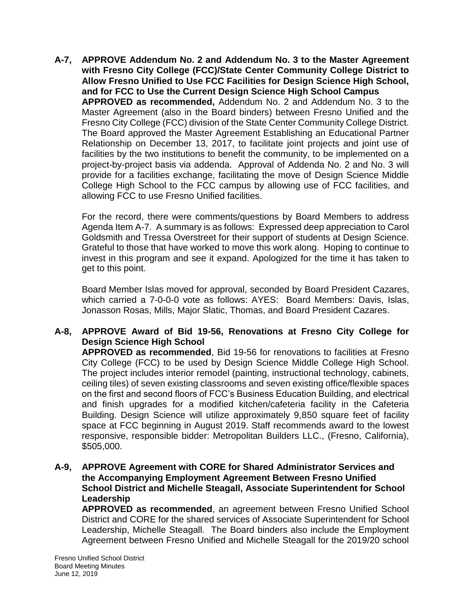**A-7, APPROVE Addendum No. 2 and Addendum No. 3 to the Master Agreement with Fresno City College (FCC)/State Center Community College District to Allow Fresno Unified to Use FCC Facilities for Design Science High School, and for FCC to Use the Current Design Science High School Campus APPROVED as recommended,** Addendum No. 2 and Addendum No. 3 to the Master Agreement (also in the Board binders) between Fresno Unified and the Fresno City College (FCC) division of the State Center Community College District. The Board approved the Master Agreement Establishing an Educational Partner Relationship on December 13, 2017, to facilitate joint projects and joint use of facilities by the two institutions to benefit the community, to be implemented on a project-by-project basis via addenda. Approval of Addenda No. 2 and No. 3 will provide for a facilities exchange, facilitating the move of Design Science Middle College High School to the FCC campus by allowing use of FCC facilities, and allowing FCC to use Fresno Unified facilities.

For the record, there were comments/questions by Board Members to address Agenda Item A-7. A summary is as follows: Expressed deep appreciation to Carol Goldsmith and Tressa Overstreet for their support of students at Design Science. Grateful to those that have worked to move this work along. Hoping to continue to invest in this program and see it expand. Apologized for the time it has taken to get to this point.

Board Member Islas moved for approval, seconded by Board President Cazares, which carried a 7-0-0-0 vote as follows: AYES: Board Members: Davis, Islas, Jonasson Rosas, Mills, Major Slatic, Thomas, and Board President Cazares.

# **A-8, APPROVE Award of Bid 19-56, Renovations at Fresno City College for Design Science High School**

**APPROVED as recommended**, Bid 19-56 for renovations to facilities at Fresno City College (FCC) to be used by Design Science Middle College High School. The project includes interior remodel (painting, instructional technology, cabinets, ceiling tiles) of seven existing classrooms and seven existing office/flexible spaces on the first and second floors of FCC's Business Education Building, and electrical and finish upgrades for a modified kitchen/cafeteria facility in the Cafeteria Building. Design Science will utilize approximately 9,850 square feet of facility space at FCC beginning in August 2019. Staff recommends award to the lowest responsive, responsible bidder: Metropolitan Builders LLC., (Fresno, California), \$505,000.

#### **A-9, APPROVE Agreement with CORE for Shared Administrator Services and the Accompanying Employment Agreement Between Fresno Unified School District and Michelle Steagall, Associate Superintendent for School Leadership**

**APPROVED as recommended**, an agreement between Fresno Unified School District and CORE for the shared services of Associate Superintendent for School Leadership, Michelle Steagall. The Board binders also include the Employment Agreement between Fresno Unified and Michelle Steagall for the 2019/20 school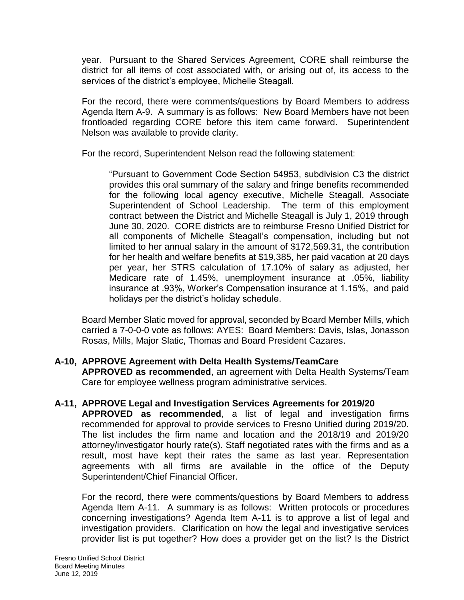year. Pursuant to the Shared Services Agreement, CORE shall reimburse the district for all items of cost associated with, or arising out of, its access to the services of the district's employee, Michelle Steagall.

For the record, there were comments/questions by Board Members to address Agenda Item A-9. A summary is as follows: New Board Members have not been frontloaded regarding CORE before this item came forward. Superintendent Nelson was available to provide clarity.

For the record, Superintendent Nelson read the following statement:

"Pursuant to Government Code Section 54953, subdivision C3 the district provides this oral summary of the salary and fringe benefits recommended for the following local agency executive, Michelle Steagall, Associate Superintendent of School Leadership. The term of this employment contract between the District and Michelle Steagall is July 1, 2019 through June 30, 2020. CORE districts are to reimburse Fresno Unified District for all components of Michelle Steagall's compensation, including but not limited to her annual salary in the amount of \$172,569.31, the contribution for her health and welfare benefits at \$19,385, her paid vacation at 20 days per year, her STRS calculation of 17.10% of salary as adjusted, her Medicare rate of 1.45%, unemployment insurance at .05%, liability insurance at .93%, Worker's Compensation insurance at 1.15%, and paid holidays per the district's holiday schedule.

Board Member Slatic moved for approval, seconded by Board Member Mills, which carried a 7-0-0-0 vote as follows: AYES: Board Members: Davis, Islas, Jonasson Rosas, Mills, Major Slatic, Thomas and Board President Cazares.

# **A-10, APPROVE Agreement with Delta Health Systems/TeamCare**

**APPROVED as recommended**, an agreement with Delta Health Systems/Team Care for employee wellness program administrative services.

# **A-11, APPROVE Legal and Investigation Services Agreements for 2019/20**

**APPROVED as recommended**, a list of legal and investigation firms recommended for approval to provide services to Fresno Unified during 2019/20. The list includes the firm name and location and the 2018/19 and 2019/20 attorney/investigator hourly rate(s). Staff negotiated rates with the firms and as a result, most have kept their rates the same as last year. Representation agreements with all firms are available in the office of the Deputy Superintendent/Chief Financial Officer.

For the record, there were comments/questions by Board Members to address Agenda Item A-11. A summary is as follows: Written protocols or procedures concerning investigations? Agenda Item A-11 is to approve a list of legal and investigation providers. Clarification on how the legal and investigative services provider list is put together? How does a provider get on the list? Is the District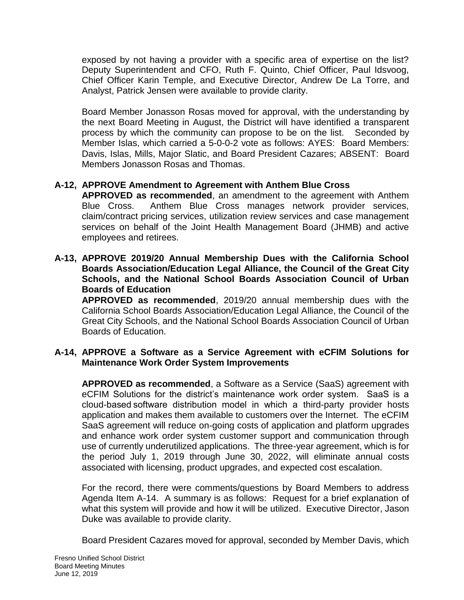exposed by not having a provider with a specific area of expertise on the list? Deputy Superintendent and CFO, Ruth F. Quinto, Chief Officer, Paul Idsvoog, Chief Officer Karin Temple, and Executive Director, Andrew De La Torre, and Analyst, Patrick Jensen were available to provide clarity.

Board Member Jonasson Rosas moved for approval, with the understanding by the next Board Meeting in August, the District will have identified a transparent process by which the community can propose to be on the list. Seconded by Member Islas, which carried a 5-0-0-2 vote as follows: AYES: Board Members: Davis, Islas, Mills, Major Slatic, and Board President Cazares; ABSENT: Board Members Jonasson Rosas and Thomas.

# **A-12, APPROVE Amendment to Agreement with Anthem Blue Cross**

**APPROVED as recommended**, an amendment to the agreement with Anthem Blue Cross. Anthem Blue Cross manages network provider services, claim/contract pricing services, utilization review services and case management services on behalf of the Joint Health Management Board (JHMB) and active employees and retirees.

**A-13, APPROVE 2019/20 Annual Membership Dues with the California School Boards Association/Education Legal Alliance, the Council of the Great City Schools, and the National School Boards Association Council of Urban Boards of Education**

**APPROVED as recommended**, 2019/20 annual membership dues with the California School Boards Association/Education Legal Alliance, the Council of the Great City Schools, and the National School Boards Association Council of Urban Boards of Education.

## **A-14, APPROVE a Software as a Service Agreement with eCFIM Solutions for Maintenance Work Order System Improvements**

**APPROVED as recommended**, a Software as a Service (SaaS) agreement with eCFIM Solutions for the district's maintenance work order system. SaaS is a cloud-based software distribution model in which a third-party provider hosts application and makes them available to customers over the Internet. The eCFIM SaaS agreement will reduce on-going costs of application and platform upgrades and enhance work order system customer support and communication through use of currently underutilized applications. The three-year agreement, which is for the period July 1, 2019 through June 30, 2022, will eliminate annual costs associated with licensing, product upgrades, and expected cost escalation.

For the record, there were comments/questions by Board Members to address Agenda Item A-14. A summary is as follows: Request for a brief explanation of what this system will provide and how it will be utilized. Executive Director, Jason Duke was available to provide clarity.

Board President Cazares moved for approval, seconded by Member Davis, which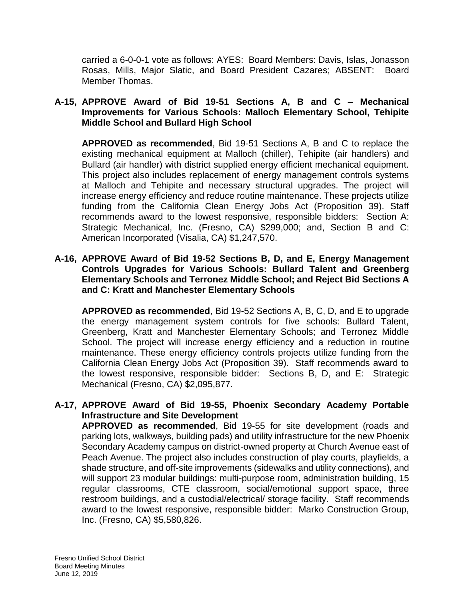carried a 6-0-0-1 vote as follows: AYES: Board Members: Davis, Islas, Jonasson Rosas, Mills, Major Slatic, and Board President Cazares; ABSENT: Board Member Thomas.

#### **A-15, APPROVE Award of Bid 19-51 Sections A, B and C – Mechanical Improvements for Various Schools: Malloch Elementary School, Tehipite Middle School and Bullard High School**

**APPROVED as recommended**, Bid 19-51 Sections A, B and C to replace the existing mechanical equipment at Malloch (chiller), Tehipite (air handlers) and Bullard (air handler) with district supplied energy efficient mechanical equipment. This project also includes replacement of energy management controls systems at Malloch and Tehipite and necessary structural upgrades. The project will increase energy efficiency and reduce routine maintenance. These projects utilize funding from the California Clean Energy Jobs Act (Proposition 39). Staff recommends award to the lowest responsive, responsible bidders: Section A: Strategic Mechanical, Inc. (Fresno, CA) \$299,000; and, Section B and C: American Incorporated (Visalia, CA) \$1,247,570.

#### **A-16, APPROVE Award of Bid 19-52 Sections B, D, and E, Energy Management Controls Upgrades for Various Schools: Bullard Talent and Greenberg Elementary Schools and Terronez Middle School; and Reject Bid Sections A and C: Kratt and Manchester Elementary Schools**

**APPROVED as recommended**, Bid 19-52 Sections A, B, C, D, and E to upgrade the energy management system controls for five schools: Bullard Talent, Greenberg, Kratt and Manchester Elementary Schools; and Terronez Middle School. The project will increase energy efficiency and a reduction in routine maintenance. These energy efficiency controls projects utilize funding from the California Clean Energy Jobs Act (Proposition 39). Staff recommends award to the lowest responsive, responsible bidder: Sections B, D, and E: Strategic Mechanical (Fresno, CA) \$2,095,877.

## **A-17, APPROVE Award of Bid 19-55, Phoenix Secondary Academy Portable Infrastructure and Site Development**

**APPROVED as recommended**, Bid 19-55 for site development (roads and parking lots, walkways, building pads) and utility infrastructure for the new Phoenix Secondary Academy campus on district-owned property at Church Avenue east of Peach Avenue. The project also includes construction of play courts, playfields, a shade structure, and off-site improvements (sidewalks and utility connections), and will support 23 modular buildings: multi-purpose room, administration building, 15 regular classrooms, CTE classroom, social/emotional support space, three restroom buildings, and a custodial/electrical/ storage facility. Staff recommends award to the lowest responsive, responsible bidder: Marko Construction Group, Inc. (Fresno, CA) \$5,580,826.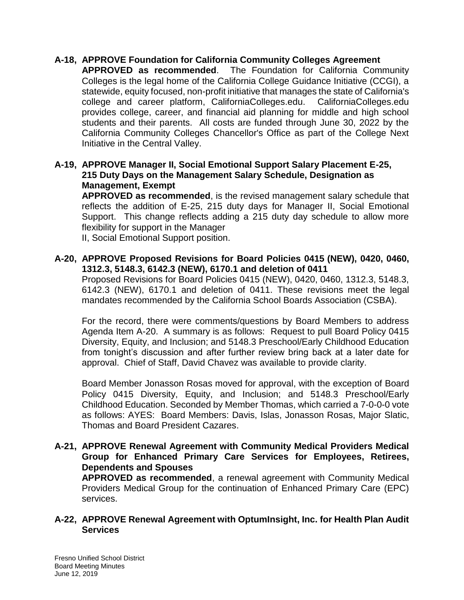# **A-18, APPROVE Foundation for California Community Colleges Agreement**

**APPROVED as recommended**. The Foundation for California Community Colleges is the legal home of the California College Guidance Initiative (CCGI), a statewide, equity focused, non-profit initiative that manages the state of California's college and career platform, CaliforniaColleges.edu. CaliforniaColleges.edu provides college, career, and financial aid planning for middle and high school students and their parents. All costs are funded through June 30, 2022 by the California Community Colleges Chancellor's Office as part of the College Next Initiative in the Central Valley.

## **A-19, APPROVE Manager II, Social Emotional Support Salary Placement E-25, 215 Duty Days on the Management Salary Schedule, Designation as Management, Exempt**

**APPROVED as recommended**, is the revised management salary schedule that reflects the addition of E-25, 215 duty days for Manager II, Social Emotional Support. This change reflects adding a 215 duty day schedule to allow more flexibility for support in the Manager

II, Social Emotional Support position.

#### **A-20, APPROVE Proposed Revisions for Board Policies 0415 (NEW), 0420, 0460, 1312.3, 5148.3, 6142.3 (NEW), 6170.1 and deletion of 0411**

Proposed Revisions for Board Policies 0415 (NEW), 0420, 0460, 1312.3, 5148.3, 6142.3 (NEW), 6170.1 and deletion of 0411. These revisions meet the legal mandates recommended by the California School Boards Association (CSBA).

For the record, there were comments/questions by Board Members to address Agenda Item A-20. A summary is as follows: Request to pull Board Policy 0415 Diversity, Equity, and Inclusion; and 5148.3 Preschool/Early Childhood Education from tonight's discussion and after further review bring back at a later date for approval. Chief of Staff, David Chavez was available to provide clarity.

Board Member Jonasson Rosas moved for approval, with the exception of Board Policy 0415 Diversity, Equity, and Inclusion; and 5148.3 Preschool/Early Childhood Education. Seconded by Member Thomas, which carried a 7-0-0-0 vote as follows: AYES: Board Members: Davis, Islas, Jonasson Rosas, Major Slatic, Thomas and Board President Cazares.

#### **A-21, APPROVE Renewal Agreement with Community Medical Providers Medical Group for Enhanced Primary Care Services for Employees, Retirees, Dependents and Spouses**

**APPROVED as recommended**, a renewal agreement with Community Medical Providers Medical Group for the continuation of Enhanced Primary Care (EPC) services.

#### **A-22, APPROVE Renewal Agreement with OptumInsight, Inc. for Health Plan Audit Services**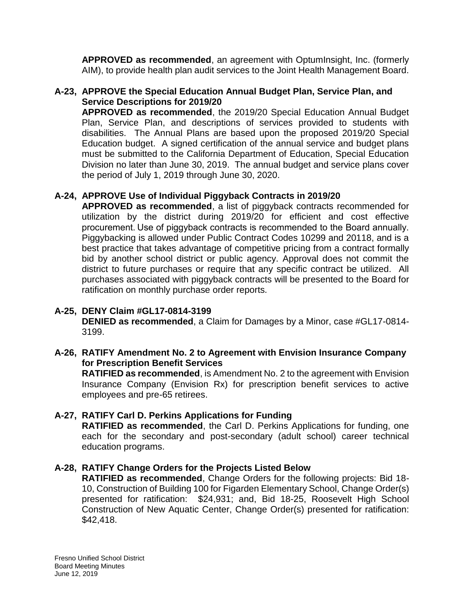**APPROVED as recommended**, an agreement with OptumInsight, Inc. (formerly AIM), to provide health plan audit services to the Joint Health Management Board.

# **A-23, APPROVE the Special Education Annual Budget Plan, Service Plan, and Service Descriptions for 2019/20**

**APPROVED as recommended**, the 2019/20 Special Education Annual Budget Plan, Service Plan, and descriptions of services provided to students with disabilities. The Annual Plans are based upon the proposed 2019/20 Special Education budget. A signed certification of the annual service and budget plans must be submitted to the California Department of Education, Special Education Division no later than June 30, 2019. The annual budget and service plans cover the period of July 1, 2019 through June 30, 2020.

# **A-24, APPROVE Use of Individual Piggyback Contracts in 2019/20**

**APPROVED as recommended**, a list of piggyback contracts recommended for utilization by the district during 2019/20 for efficient and cost effective procurement. Use of piggyback contracts is recommended to the Board annually. Piggybacking is allowed under Public Contract Codes 10299 and 20118, and is a best practice that takes advantage of competitive pricing from a contract formally bid by another school district or public agency. Approval does not commit the district to future purchases or require that any specific contract be utilized. All purchases associated with piggyback contracts will be presented to the Board for ratification on monthly purchase order reports.

# **A-25, DENY Claim #GL17-0814-3199**

**DENIED as recommended**, a Claim for Damages by a Minor, case #GL17-0814- 3199.

## **A-26, RATIFY Amendment No. 2 to Agreement with Envision Insurance Company for Prescription Benefit Services**

**RATIFIED as recommended**, is Amendment No. 2 to the agreement with Envision Insurance Company (Envision Rx) for prescription benefit services to active employees and pre-65 retirees.

# **A-27, RATIFY Carl D. Perkins Applications for Funding**

**RATIFIED as recommended**, the Carl D. Perkins Applications for funding, one each for the secondary and post-secondary (adult school) career technical education programs.

# **A-28, RATIFY Change Orders for the Projects Listed Below**

**RATIFIED as recommended**, Change Orders for the following projects: Bid 18- 10, Construction of Building 100 for Figarden Elementary School, Change Order(s) presented for ratification: \$24,931; and, Bid 18-25, Roosevelt High School Construction of New Aquatic Center, Change Order(s) presented for ratification: \$42,418.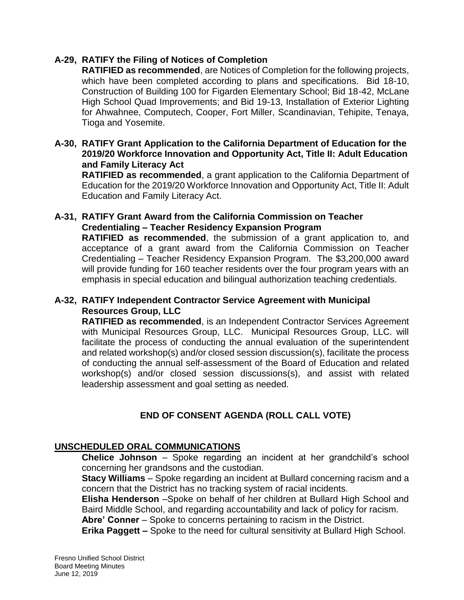## **A-29, RATIFY the Filing of Notices of Completion**

**RATIFIED as recommended**, are Notices of Completion for the following projects, which have been completed according to plans and specifications. Bid 18-10, Construction of Building 100 for Figarden Elementary School; Bid 18-42, McLane High School Quad Improvements; and Bid 19-13, Installation of Exterior Lighting for Ahwahnee, Computech, Cooper, Fort Miller, Scandinavian, Tehipite, Tenaya, Tioga and Yosemite.

## **A-30, RATIFY Grant Application to the California Department of Education for the 2019/20 Workforce Innovation and Opportunity Act, Title II: Adult Education and Family Literacy Act**

**RATIFIED as recommended**, a grant application to the California Department of Education for the 2019/20 Workforce Innovation and Opportunity Act, Title II: Adult Education and Family Literacy Act.

#### **A-31, RATIFY Grant Award from the California Commission on Teacher Credentialing – Teacher Residency Expansion Program**

**RATIFIED as recommended**, the submission of a grant application to, and acceptance of a grant award from the California Commission on Teacher Credentialing – Teacher Residency Expansion Program. The \$3,200,000 award will provide funding for 160 teacher residents over the four program years with an emphasis in special education and bilingual authorization teaching credentials.

## **A-32, RATIFY Independent Contractor Service Agreement with Municipal Resources Group, LLC**

**RATIFIED as recommended**, is an Independent Contractor Services Agreement with Municipal Resources Group, LLC. Municipal Resources Group, LLC. will facilitate the process of conducting the annual evaluation of the superintendent and related workshop(s) and/or closed session discussion(s), facilitate the process of conducting the annual self-assessment of the Board of Education and related workshop(s) and/or closed session discussions(s), and assist with related leadership assessment and goal setting as needed.

# **END OF CONSENT AGENDA (ROLL CALL VOTE)**

# **UNSCHEDULED ORAL COMMUNICATIONS**

**Chelice Johnson** – Spoke regarding an incident at her grandchild's school concerning her grandsons and the custodian.

**Stacy Williams** – Spoke regarding an incident at Bullard concerning racism and a concern that the District has no tracking system of racial incidents.

**Elisha Henderson** –Spoke on behalf of her children at Bullard High School and Baird Middle School, and regarding accountability and lack of policy for racism.

**Abre' Conner** – Spoke to concerns pertaining to racism in the District.

**Erika Paggett –** Spoke to the need for cultural sensitivity at Bullard High School.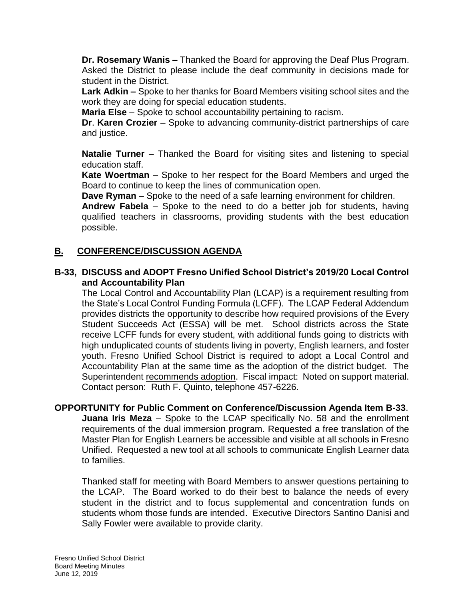**Dr. Rosemary Wanis –** Thanked the Board for approving the Deaf Plus Program. Asked the District to please include the deaf community in decisions made for student in the District.

**Lark Adkin –** Spoke to her thanks for Board Members visiting school sites and the work they are doing for special education students.

**Maria Else** – Spoke to school accountability pertaining to racism.

**Dr**. **Karen Crozier** – Spoke to advancing community-district partnerships of care and justice.

**Natalie Turner** – Thanked the Board for visiting sites and listening to special education staff.

**Kate Woertman** – Spoke to her respect for the Board Members and urged the Board to continue to keep the lines of communication open.

**Dave Ryman** – Spoke to the need of a safe learning environment for children.

**Andrew Fabela** – Spoke to the need to do a better job for students, having qualified teachers in classrooms, providing students with the best education possible.

# **B. CONFERENCE/DISCUSSION AGENDA**

# **B-33, DISCUSS and ADOPT Fresno Unified School District's 2019/20 Local Control and Accountability Plan**

The Local Control and Accountability Plan (LCAP) is a requirement resulting from the State's Local Control Funding Formula (LCFF). The LCAP Federal Addendum provides districts the opportunity to describe how required provisions of the Every Student Succeeds Act (ESSA) will be met. School districts across the State receive LCFF funds for every student, with additional funds going to districts with high unduplicated counts of students living in poverty, English learners, and foster youth. Fresno Unified School District is required to adopt a Local Control and Accountability Plan at the same time as the adoption of the district budget. The Superintendent recommends adoption. Fiscal impact: Noted on support material. Contact person: Ruth F. Quinto, telephone 457-6226.

#### **OPPORTUNITY for Public Comment on Conference/Discussion Agenda Item B-33**.

**Juana Iris Meza** – Spoke to the LCAP specifically No. 58 and the enrollment requirements of the dual immersion program. Requested a free translation of the Master Plan for English Learners be accessible and visible at all schools in Fresno Unified. Requested a new tool at all schools to communicate English Learner data to families.

Thanked staff for meeting with Board Members to answer questions pertaining to the LCAP. The Board worked to do their best to balance the needs of every student in the district and to focus supplemental and concentration funds on students whom those funds are intended. Executive Directors Santino Danisi and Sally Fowler were available to provide clarity.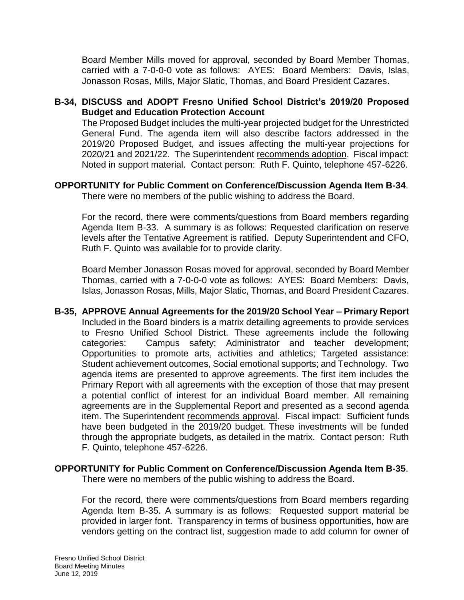Board Member Mills moved for approval, seconded by Board Member Thomas, carried with a 7-0-0-0 vote as follows: AYES: Board Members: Davis, Islas, Jonasson Rosas, Mills, Major Slatic, Thomas, and Board President Cazares.

# **B-34, DISCUSS and ADOPT Fresno Unified School District's 2019/20 Proposed Budget and Education Protection Account**

The Proposed Budget includes the multi-year projected budget for the Unrestricted General Fund. The agenda item will also describe factors addressed in the 2019/20 Proposed Budget, and issues affecting the multi-year projections for 2020/21 and 2021/22. The Superintendent recommends adoption. Fiscal impact: Noted in support material. Contact person: Ruth F. Quinto, telephone 457-6226.

#### **OPPORTUNITY for Public Comment on Conference/Discussion Agenda Item B-34**. There were no members of the public wishing to address the Board.

For the record, there were comments/questions from Board members regarding Agenda Item B-33. A summary is as follows: Requested clarification on reserve levels after the Tentative Agreement is ratified. Deputy Superintendent and CFO, Ruth F. Quinto was available for to provide clarity.

Board Member Jonasson Rosas moved for approval, seconded by Board Member Thomas, carried with a 7-0-0-0 vote as follows: AYES: Board Members: Davis, Islas, Jonasson Rosas, Mills, Major Slatic, Thomas, and Board President Cazares.

**B-35, APPROVE Annual Agreements for the 2019/20 School Year – Primary Report** Included in the Board binders is a matrix detailing agreements to provide services to Fresno Unified School District. These agreements include the following categories: Campus safety; Administrator and teacher development; Opportunities to promote arts, activities and athletics; Targeted assistance: Student achievement outcomes, Social emotional supports; and Technology. Two agenda items are presented to approve agreements. The first item includes the Primary Report with all agreements with the exception of those that may present a potential conflict of interest for an individual Board member. All remaining agreements are in the Supplemental Report and presented as a second agenda item. The Superintendent recommends approval. Fiscal impact: Sufficient funds have been budgeted in the 2019/20 budget. These investments will be funded through the appropriate budgets, as detailed in the matrix. Contact person: Ruth F. Quinto, telephone 457-6226.

# **OPPORTUNITY for Public Comment on Conference/Discussion Agenda Item B-35**.

There were no members of the public wishing to address the Board.

For the record, there were comments/questions from Board members regarding Agenda Item B-35. A summary is as follows: Requested support material be provided in larger font. Transparency in terms of business opportunities, how are vendors getting on the contract list, suggestion made to add column for owner of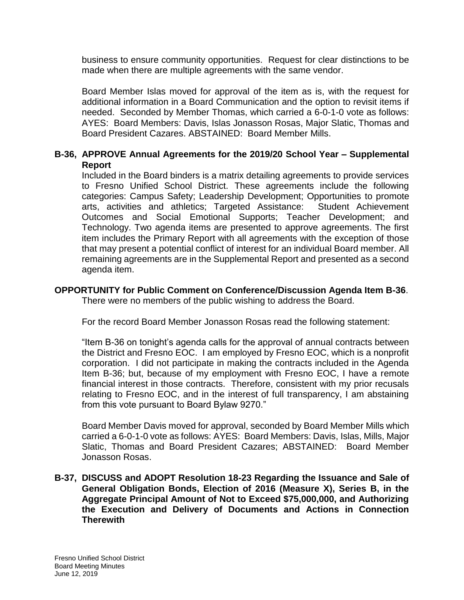business to ensure community opportunities. Request for clear distinctions to be made when there are multiple agreements with the same vendor.

Board Member Islas moved for approval of the item as is, with the request for additional information in a Board Communication and the option to revisit items if needed. Seconded by Member Thomas, which carried a 6-0-1-0 vote as follows: AYES: Board Members: Davis, Islas Jonasson Rosas, Major Slatic, Thomas and Board President Cazares. ABSTAINED: Board Member Mills.

# **B-36, APPROVE Annual Agreements for the 2019/20 School Year – Supplemental Report**

Included in the Board binders is a matrix detailing agreements to provide services to Fresno Unified School District. These agreements include the following categories: Campus Safety; Leadership Development; Opportunities to promote arts, activities and athletics; Targeted Assistance: Student Achievement Outcomes and Social Emotional Supports; Teacher Development; and Technology. Two agenda items are presented to approve agreements. The first item includes the Primary Report with all agreements with the exception of those that may present a potential conflict of interest for an individual Board member. All remaining agreements are in the Supplemental Report and presented as a second agenda item.

#### **OPPORTUNITY for Public Comment on Conference/Discussion Agenda Item B-36**. There were no members of the public wishing to address the Board.

For the record Board Member Jonasson Rosas read the following statement:

"Item B-36 on tonight's agenda calls for the approval of annual contracts between the District and Fresno EOC. I am employed by Fresno EOC, which is a nonprofit corporation. I did not participate in making the contracts included in the Agenda Item B-36; but, because of my employment with Fresno EOC, I have a remote financial interest in those contracts. Therefore, consistent with my prior recusals relating to Fresno EOC, and in the interest of full transparency, I am abstaining from this vote pursuant to Board Bylaw 9270."

Board Member Davis moved for approval, seconded by Board Member Mills which carried a 6-0-1-0 vote as follows: AYES: Board Members: Davis, Islas, Mills, Major Slatic, Thomas and Board President Cazares; ABSTAINED: Board Member Jonasson Rosas.

#### **B-37, DISCUSS and ADOPT Resolution 18-23 Regarding the Issuance and Sale of General Obligation Bonds, Election of 2016 (Measure X), Series B, in the Aggregate Principal Amount of Not to Exceed \$75,000,000, and Authorizing the Execution and Delivery of Documents and Actions in Connection Therewith**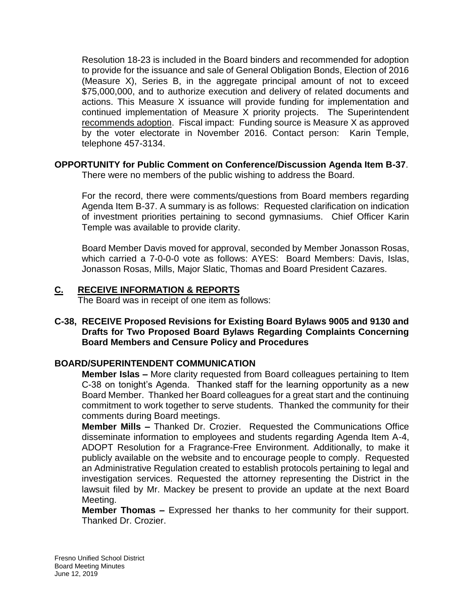Resolution 18-23 is included in the Board binders and recommended for adoption to provide for the issuance and sale of General Obligation Bonds, Election of 2016 (Measure X), Series B, in the aggregate principal amount of not to exceed \$75,000,000, and to authorize execution and delivery of related documents and actions. This Measure X issuance will provide funding for implementation and continued implementation of Measure X priority projects. The Superintendent recommends adoption. Fiscal impact: Funding source is Measure X as approved by the voter electorate in November 2016. Contact person: Karin Temple, telephone 457-3134.

# **OPPORTUNITY for Public Comment on Conference/Discussion Agenda Item B-37**.

There were no members of the public wishing to address the Board.

For the record, there were comments/questions from Board members regarding Agenda Item B-37. A summary is as follows: Requested clarification on indication of investment priorities pertaining to second gymnasiums. Chief Officer Karin Temple was available to provide clarity.

Board Member Davis moved for approval, seconded by Member Jonasson Rosas, which carried a 7-0-0-0 vote as follows: AYES: Board Members: Davis, Islas, Jonasson Rosas, Mills, Major Slatic, Thomas and Board President Cazares.

# **C. RECEIVE INFORMATION & REPORTS**

The Board was in receipt of one item as follows:

## **C-38, RECEIVE Proposed Revisions for Existing Board Bylaws 9005 and 9130 and Drafts for Two Proposed Board Bylaws Regarding Complaints Concerning Board Members and Censure Policy and Procedures**

# **BOARD/SUPERINTENDENT COMMUNICATION**

**Member Islas –** More clarity requested from Board colleagues pertaining to Item C-38 on tonight's Agenda. Thanked staff for the learning opportunity as a new Board Member. Thanked her Board colleagues for a great start and the continuing commitment to work together to serve students. Thanked the community for their comments during Board meetings.

**Member Mills –** Thanked Dr. Crozier. Requested the Communications Office disseminate information to employees and students regarding Agenda Item A-4, ADOPT Resolution for a Fragrance-Free Environment. Additionally, to make it publicly available on the website and to encourage people to comply. Requested an Administrative Regulation created to establish protocols pertaining to legal and investigation services. Requested the attorney representing the District in the lawsuit filed by Mr. Mackey be present to provide an update at the next Board Meeting.

**Member Thomas –** Expressed her thanks to her community for their support. Thanked Dr. Crozier.